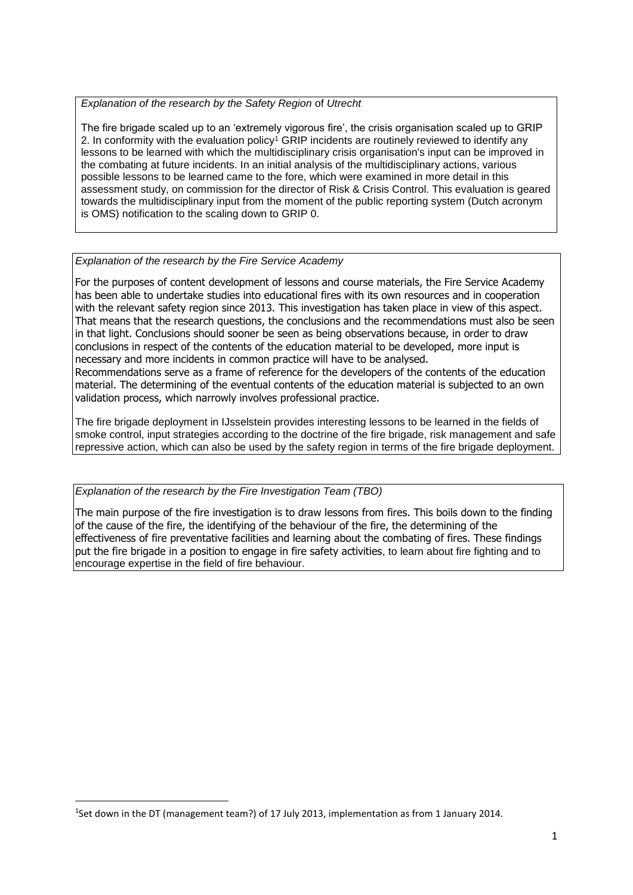# *Explanation of the research by the Safety Region* of *Utrecht*

The fire brigade scaled up to an 'extremely vigorous fire', the crisis organisation scaled up to GRIP 2. In conformity with the evaluation policy<sup>1</sup> GRIP incidents are routinely reviewed to identify any lessons to be learned with which the multidisciplinary crisis organisation's input can be improved in the combating at future incidents. In an initial analysis of the multidisciplinary actions, various possible lessons to be learned came to the fore, which were examined in more detail in this assessment study, on commission for the director of Risk & Crisis Control. This evaluation is geared towards the multidisciplinary input from the moment of the public reporting system (Dutch acronym is OMS) notification to the scaling down to GRIP 0.

# *Explanation of the research by the Fire Service Academy*

For the purposes of content development of lessons and course materials, the Fire Service Academy has been able to undertake studies into educational fires with its own resources and in cooperation with the relevant safety region since 2013. This investigation has taken place in view of this aspect. That means that the research questions, the conclusions and the recommendations must also be seen in that light. Conclusions should sooner be seen as being observations because, in order to draw conclusions in respect of the contents of the education material to be developed, more input is necessary and more incidents in common practice will have to be analysed. Recommendations serve as a frame of reference for the developers of the contents of the education material. The determining of the eventual contents of the education material is subjected to an own validation process, which narrowly involves professional practice.

The fire brigade deployment in IJsselstein provides interesting lessons to be learned in the fields of smoke control, input strategies according to the doctrine of the fire brigade, risk management and safe repressive action, which can also be used by the safety region in terms of the fire brigade deployment.

*Explanation of the research by the Fire Investigation Team (TBO)*

**.** 

The main purpose of the fire investigation is to draw lessons from fires. This boils down to the finding of the cause of the fire, the identifying of the behaviour of the fire, the determining of the effectiveness of fire preventative facilities and learning about the combating of fires. These findings put the fire brigade in a position to engage in fire safety activities, to learn about fire fighting and to encourage expertise in the field of fire behaviour.

<sup>&</sup>lt;sup>1</sup>Set down in the DT (management team?) of 17 July 2013, implementation as from 1 January 2014.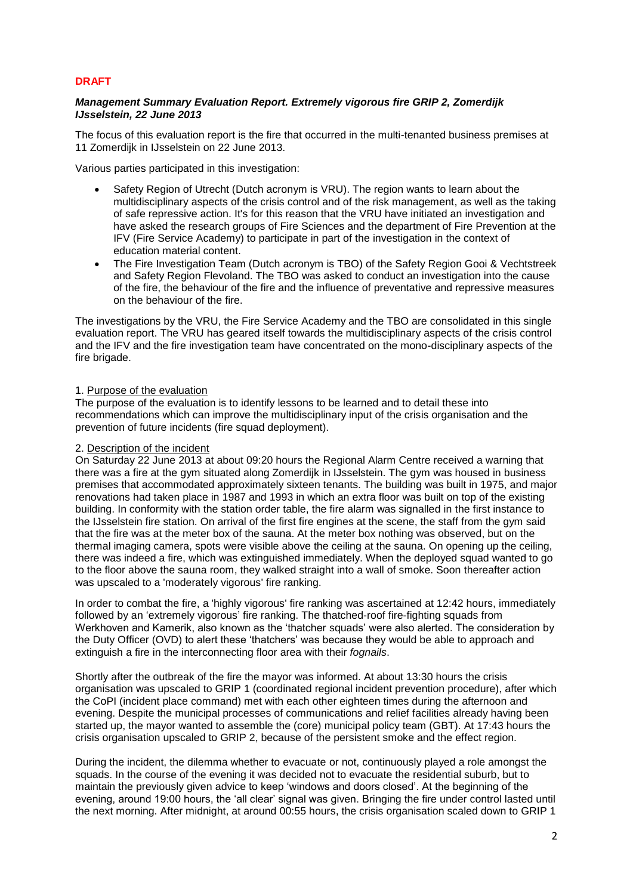# **DRAFT**

# *Management Summary Evaluation Report. Extremely vigorous fire GRIP 2, Zomerdijk IJsselstein, 22 June 2013*

The focus of this evaluation report is the fire that occurred in the multi-tenanted business premises at 11 Zomerdijk in IJsselstein on 22 June 2013.

Various parties participated in this investigation:

- Safety Region of Utrecht (Dutch acronym is VRU). The region wants to learn about the multidisciplinary aspects of the crisis control and of the risk management, as well as the taking of safe repressive action. It's for this reason that the VRU have initiated an investigation and have asked the research groups of Fire Sciences and the department of Fire Prevention at the IFV (Fire Service Academy) to participate in part of the investigation in the context of education material content.
- The Fire Investigation Team (Dutch acronym is TBO) of the Safety Region Gooi & Vechtstreek and Safety Region Flevoland. The TBO was asked to conduct an investigation into the cause of the fire, the behaviour of the fire and the influence of preventative and repressive measures on the behaviour of the fire.

The investigations by the VRU, the Fire Service Academy and the TBO are consolidated in this single evaluation report. The VRU has geared itself towards the multidisciplinary aspects of the crisis control and the IFV and the fire investigation team have concentrated on the mono-disciplinary aspects of the fire brigade.

# 1. Purpose of the evaluation

The purpose of the evaluation is to identify lessons to be learned and to detail these into recommendations which can improve the multidisciplinary input of the crisis organisation and the prevention of future incidents (fire squad deployment).

#### 2. Description of the incident

On Saturday 22 June 2013 at about 09:20 hours the Regional Alarm Centre received a warning that there was a fire at the gym situated along Zomerdijk in IJsselstein. The gym was housed in business premises that accommodated approximately sixteen tenants. The building was built in 1975, and major renovations had taken place in 1987 and 1993 in which an extra floor was built on top of the existing building. In conformity with the station order table, the fire alarm was signalled in the first instance to the IJsselstein fire station. On arrival of the first fire engines at the scene, the staff from the gym said that the fire was at the meter box of the sauna. At the meter box nothing was observed, but on the thermal imaging camera, spots were visible above the ceiling at the sauna. On opening up the ceiling, there was indeed a fire, which was extinguished immediately. When the deployed squad wanted to go to the floor above the sauna room, they walked straight into a wall of smoke. Soon thereafter action was upscaled to a 'moderately vigorous' fire ranking.

In order to combat the fire, a 'highly vigorous' fire ranking was ascertained at 12:42 hours, immediately followed by an 'extremely vigorous' fire ranking. The thatched-roof fire-fighting squads from Werkhoven and Kamerik, also known as the 'thatcher squads' were also alerted. The consideration by the Duty Officer (OVD) to alert these 'thatchers' was because they would be able to approach and extinguish a fire in the interconnecting floor area with their *fognails*.

Shortly after the outbreak of the fire the mayor was informed. At about 13:30 hours the crisis organisation was upscaled to GRIP 1 (coordinated regional incident prevention procedure), after which the CoPI (incident place command) met with each other eighteen times during the afternoon and evening. Despite the municipal processes of communications and relief facilities already having been started up, the mayor wanted to assemble the (core) municipal policy team (GBT). At 17:43 hours the crisis organisation upscaled to GRIP 2, because of the persistent smoke and the effect region.

During the incident, the dilemma whether to evacuate or not, continuously played a role amongst the squads. In the course of the evening it was decided not to evacuate the residential suburb, but to maintain the previously given advice to keep 'windows and doors closed'. At the beginning of the evening, around 19:00 hours, the 'all clear' signal was given. Bringing the fire under control lasted until the next morning. After midnight, at around 00:55 hours, the crisis organisation scaled down to GRIP 1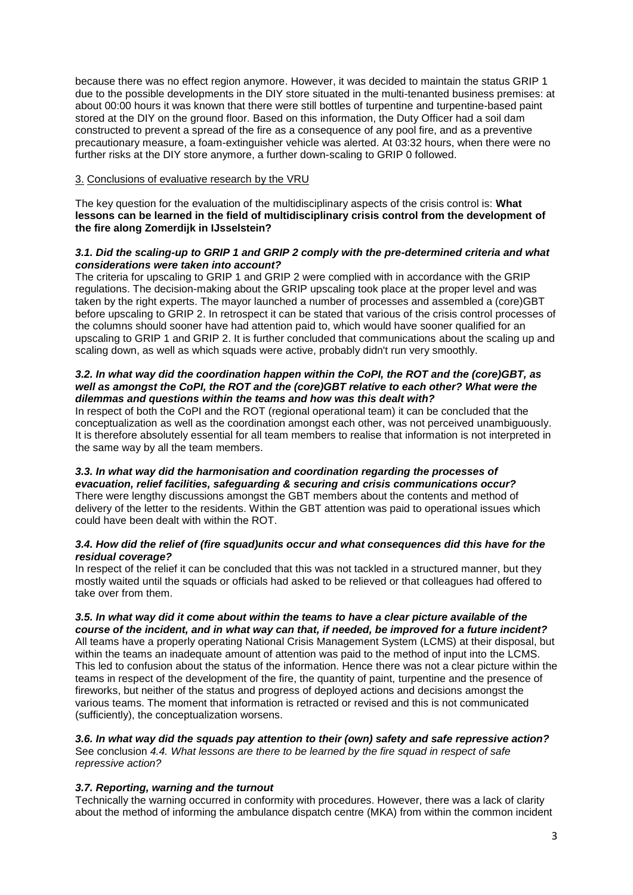because there was no effect region anymore. However, it was decided to maintain the status GRIP 1 due to the possible developments in the DIY store situated in the multi-tenanted business premises: at about 00:00 hours it was known that there were still bottles of turpentine and turpentine-based paint stored at the DIY on the ground floor. Based on this information, the Duty Officer had a soil dam constructed to prevent a spread of the fire as a consequence of any pool fire, and as a preventive precautionary measure, a foam-extinguisher vehicle was alerted. At 03:32 hours, when there were no further risks at the DIY store anymore, a further down-scaling to GRIP 0 followed.

# 3. Conclusions of evaluative research by the VRU

The key question for the evaluation of the multidisciplinary aspects of the crisis control is: **What lessons can be learned in the field of multidisciplinary crisis control from the development of the fire along Zomerdijk in IJsselstein?**

# *3.1. Did the scaling-up to GRIP 1 and GRIP 2 comply with the pre-determined criteria and what considerations were taken into account?*

The criteria for upscaling to GRIP 1 and GRIP 2 were complied with in accordance with the GRIP regulations. The decision-making about the GRIP upscaling took place at the proper level and was taken by the right experts. The mayor launched a number of processes and assembled a (core)GBT before upscaling to GRIP 2. In retrospect it can be stated that various of the crisis control processes of the columns should sooner have had attention paid to, which would have sooner qualified for an upscaling to GRIP 1 and GRIP 2. It is further concluded that communications about the scaling up and scaling down, as well as which squads were active, probably didn't run very smoothly.

# *3.2. In what way did the coordination happen within the CoPI, the ROT and the (core)GBT, as well as amongst the CoPI, the ROT and the (core)GBT relative to each other? What were the dilemmas and questions within the teams and how was this dealt with?*

In respect of both the CoPI and the ROT (regional operational team) it can be concluded that the conceptualization as well as the coordination amongst each other, was not perceived unambiguously. It is therefore absolutely essential for all team members to realise that information is not interpreted in the same way by all the team members.

#### *3.3. In what way did the harmonisation and coordination regarding the processes of evacuation, relief facilities, safeguarding & securing and crisis communications occur?*  There were lengthy discussions amongst the GBT members about the contents and method of delivery of the letter to the residents. Within the GBT attention was paid to operational issues which could have been dealt with within the ROT.

# *3.4. How did the relief of (fire squad)units occur and what consequences did this have for the residual coverage?*

In respect of the relief it can be concluded that this was not tackled in a structured manner, but they mostly waited until the squads or officials had asked to be relieved or that colleagues had offered to take over from them.

#### *3.5. In what way did it come about within the teams to have a clear picture available of the course of the incident, and in what way can that, if needed, be improved for a future incident?*  All teams have a properly operating National Crisis Management System (LCMS) at their disposal, but within the teams an inadequate amount of attention was paid to the method of input into the LCMS. This led to confusion about the status of the information. Hence there was not a clear picture within the teams in respect of the development of the fire, the quantity of paint, turpentine and the presence of fireworks, but neither of the status and progress of deployed actions and decisions amongst the various teams. The moment that information is retracted or revised and this is not communicated

*3.6. In what way did the squads pay attention to their (own) safety and safe repressive action?*  See conclusion *4.4. What lessons are there to be learned by the fire squad in respect of safe repressive action?*

# *3.7. Reporting, warning and the turnout*

(sufficiently), the conceptualization worsens.

Technically the warning occurred in conformity with procedures. However, there was a lack of clarity about the method of informing the ambulance dispatch centre (MKA) from within the common incident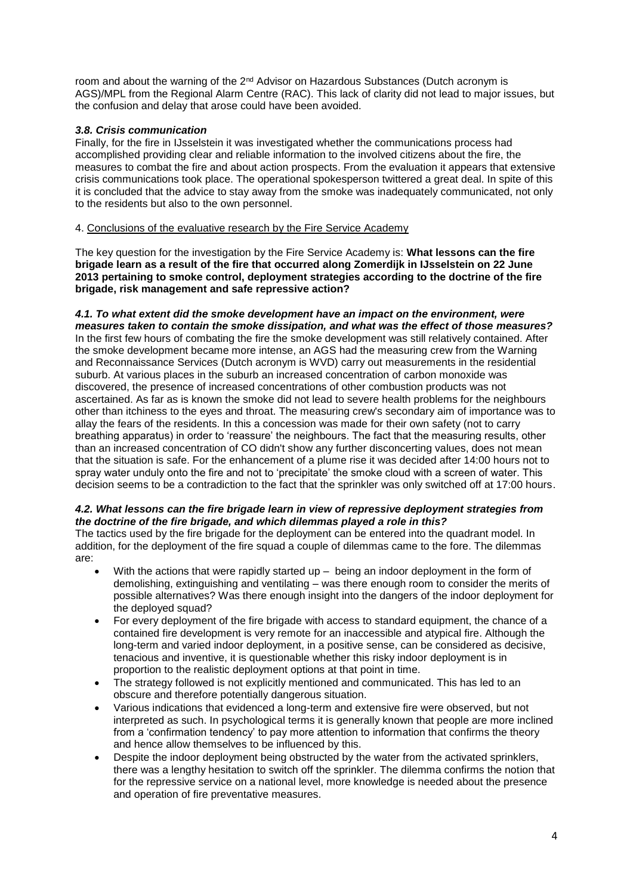room and about the warning of the  $2<sup>nd</sup>$  Advisor on Hazardous Substances (Dutch acronym is AGS)/MPL from the Regional Alarm Centre (RAC). This lack of clarity did not lead to major issues, but the confusion and delay that arose could have been avoided.

# *3.8. Crisis communication*

Finally, for the fire in IJsselstein it was investigated whether the communications process had accomplished providing clear and reliable information to the involved citizens about the fire, the measures to combat the fire and about action prospects. From the evaluation it appears that extensive crisis communications took place. The operational spokesperson twittered a great deal. In spite of this it is concluded that the advice to stay away from the smoke was inadequately communicated, not only to the residents but also to the own personnel.

# 4. Conclusions of the evaluative research by the Fire Service Academy

The key question for the investigation by the Fire Service Academy is: **What lessons can the fire brigade learn as a result of the fire that occurred along Zomerdijk in IJsselstein on 22 June 2013 pertaining to smoke control, deployment strategies according to the doctrine of the fire brigade, risk management and safe repressive action?**

#### *4.1. To what extent did the smoke development have an impact on the environment, were measures taken to contain the smoke dissipation, and what was the effect of those measures?*

In the first few hours of combating the fire the smoke development was still relatively contained. After the smoke development became more intense, an AGS had the measuring crew from the Warning and Reconnaissance Services (Dutch acronym is WVD) carry out measurements in the residential suburb. At various places in the suburb an increased concentration of carbon monoxide was discovered, the presence of increased concentrations of other combustion products was not ascertained. As far as is known the smoke did not lead to severe health problems for the neighbours other than itchiness to the eyes and throat. The measuring crew's secondary aim of importance was to allay the fears of the residents. In this a concession was made for their own safety (not to carry breathing apparatus) in order to 'reassure' the neighbours. The fact that the measuring results, other than an increased concentration of CO didn't show any further disconcerting values, does not mean that the situation is safe. For the enhancement of a plume rise it was decided after 14:00 hours not to spray water unduly onto the fire and not to 'precipitate' the smoke cloud with a screen of water. This decision seems to be a contradiction to the fact that the sprinkler was only switched off at 17:00 hours.

# *4.2. What lessons can the fire brigade learn in view of repressive deployment strategies from the doctrine of the fire brigade, and which dilemmas played a role in this?*

The tactics used by the fire brigade for the deployment can be entered into the quadrant model. In addition, for the deployment of the fire squad a couple of dilemmas came to the fore. The dilemmas are:

- With the actions that were rapidly started up  $-$  being an indoor deployment in the form of demolishing, extinguishing and ventilating – was there enough room to consider the merits of possible alternatives? Was there enough insight into the dangers of the indoor deployment for the deployed squad?
- For every deployment of the fire brigade with access to standard equipment, the chance of a contained fire development is very remote for an inaccessible and atypical fire. Although the long-term and varied indoor deployment, in a positive sense, can be considered as decisive, tenacious and inventive, it is questionable whether this risky indoor deployment is in proportion to the realistic deployment options at that point in time.
- The strategy followed is not explicitly mentioned and communicated. This has led to an obscure and therefore potentially dangerous situation.
- Various indications that evidenced a long-term and extensive fire were observed, but not interpreted as such. In psychological terms it is generally known that people are more inclined from a 'confirmation tendency' to pay more attention to information that confirms the theory and hence allow themselves to be influenced by this.
- Despite the indoor deployment being obstructed by the water from the activated sprinklers, there was a lengthy hesitation to switch off the sprinkler. The dilemma confirms the notion that for the repressive service on a national level, more knowledge is needed about the presence and operation of fire preventative measures.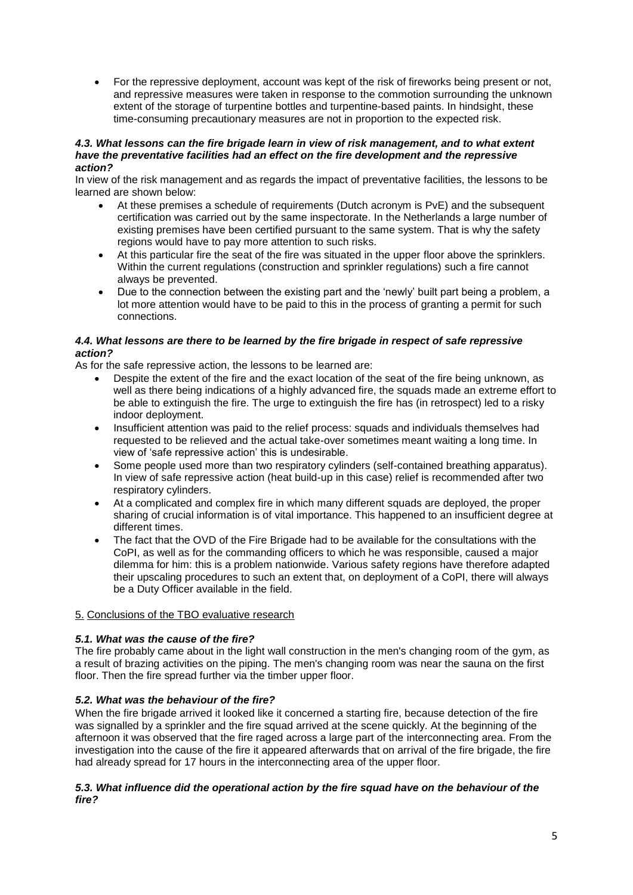For the repressive deployment, account was kept of the risk of fireworks being present or not, and repressive measures were taken in response to the commotion surrounding the unknown extent of the storage of turpentine bottles and turpentine-based paints. In hindsight, these time-consuming precautionary measures are not in proportion to the expected risk.

#### *4.3. What lessons can the fire brigade learn in view of risk management, and to what extent have the preventative facilities had an effect on the fire development and the repressive action?*

In view of the risk management and as regards the impact of preventative facilities, the lessons to be learned are shown below:

- At these premises a schedule of requirements (Dutch acronym is PvE) and the subsequent certification was carried out by the same inspectorate. In the Netherlands a large number of existing premises have been certified pursuant to the same system. That is why the safety regions would have to pay more attention to such risks.
- At this particular fire the seat of the fire was situated in the upper floor above the sprinklers. Within the current regulations (construction and sprinkler regulations) such a fire cannot always be prevented.
- Due to the connection between the existing part and the 'newly' built part being a problem, a lot more attention would have to be paid to this in the process of granting a permit for such connections.

# *4.4. What lessons are there to be learned by the fire brigade in respect of safe repressive action?*

As for the safe repressive action, the lessons to be learned are:

- Despite the extent of the fire and the exact location of the seat of the fire being unknown, as well as there being indications of a highly advanced fire, the squads made an extreme effort to be able to extinguish the fire. The urge to extinguish the fire has (in retrospect) led to a risky indoor deployment.
- Insufficient attention was paid to the relief process: squads and individuals themselves had requested to be relieved and the actual take-over sometimes meant waiting a long time. In view of 'safe repressive action' this is undesirable.
- Some people used more than two respiratory cylinders (self-contained breathing apparatus). In view of safe repressive action (heat build-up in this case) relief is recommended after two respiratory cylinders.
- At a complicated and complex fire in which many different squads are deployed, the proper sharing of crucial information is of vital importance. This happened to an insufficient degree at different times.
- The fact that the OVD of the Fire Brigade had to be available for the consultations with the CoPI, as well as for the commanding officers to which he was responsible, caused a major dilemma for him: this is a problem nationwide. Various safety regions have therefore adapted their upscaling procedures to such an extent that, on deployment of a CoPI, there will always be a Duty Officer available in the field.

# 5. Conclusions of the TBO evaluative research

# *5.1. What was the cause of the fire?*

The fire probably came about in the light wall construction in the men's changing room of the gym, as a result of brazing activities on the piping. The men's changing room was near the sauna on the first floor. Then the fire spread further via the timber upper floor.

# *5.2. What was the behaviour of the fire?*

When the fire brigade arrived it looked like it concerned a starting fire, because detection of the fire was signalled by a sprinkler and the fire squad arrived at the scene quickly. At the beginning of the afternoon it was observed that the fire raged across a large part of the interconnecting area. From the investigation into the cause of the fire it appeared afterwards that on arrival of the fire brigade, the fire had already spread for 17 hours in the interconnecting area of the upper floor.

# *5.3. What influence did the operational action by the fire squad have on the behaviour of the fire?*